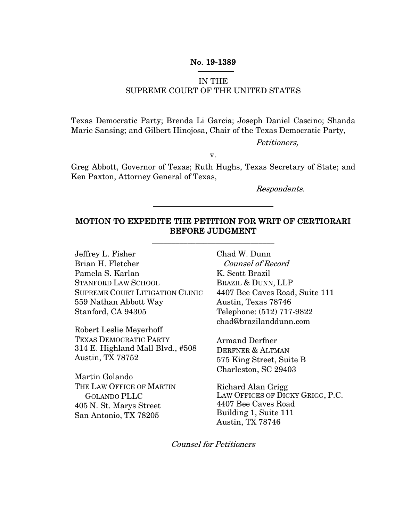### No. 19-1389

### IN THE SUPREME COURT OF THE UNITED STATES

Texas Democratic Party; Brenda Li Garcia; Joseph Daniel Cascino; Shanda Marie Sansing; and Gilbert Hinojosa, Chair of the Texas Democratic Party,

Petitioners,

v.

Greg Abbott, Governor of Texas; Ruth Hughs, Texas Secretary of State; and Ken Paxton, Attorney General of Texas,

Respondents.

### MOTION TO EXPEDITE THE PETITION FOR WRIT OF CERTIORARI BEFORE JUDGMENT

\_\_\_\_\_\_\_\_\_\_\_\_\_\_\_\_\_\_\_\_\_\_\_\_\_\_\_\_\_\_\_

Jeffrey L. Fisher Brian H. Fletcher Pamela S. Karlan STANFORD LAW SCHOOL SUPREME COURT LITIGATION CLINIC 559 Nathan Abbott Way Stanford, CA 94305

Robert Leslie Meyerhoff TEXAS DEMOCRATIC PARTY 314 E. Highland Mall Blvd., #508 Austin, TX 78752

Martin Golando THE LAW OFFICE OF MARTIN GOLANDO PLLC 405 N. St. Marys Street San Antonio, TX 78205

Chad W. Dunn Counsel of Record K. Scott Brazil BRAZIL & DUNN, LLP 4407 Bee Caves Road, Suite 111 Austin, Texas 78746 Telephone: (512) 717-9822 chad@brazilanddunn.com

Armand Derfner DERFNER & ALTMAN 575 King Street, Suite B Charleston, SC 29403

Richard Alan Grigg LAW OFFICES OF DICKY GRIGG, P.C. 4407 Bee Caves Road Building 1, Suite 111 Austin, TX 78746

Counsel for Petitioners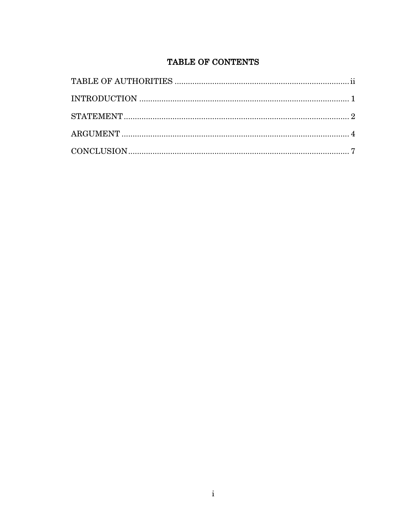# TABLE OF CONTENTS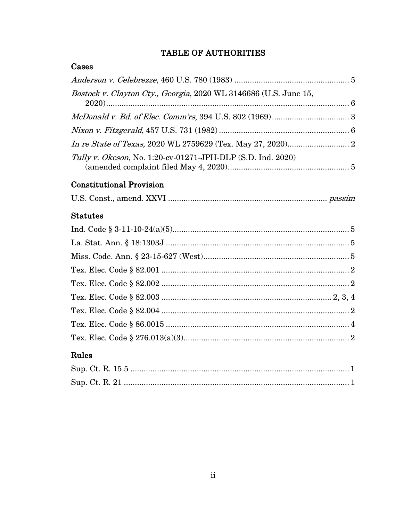# TABLE OF AUTHORITIES

## Cases

| Bostock v. Clayton Cty., Georgia, 2020 WL 3146686 (U.S. June 15, |  |
|------------------------------------------------------------------|--|
|                                                                  |  |
|                                                                  |  |
|                                                                  |  |
| Tully v. Okeson, No. 1:20-cv-01271-JPH-DLP (S.D. Ind. 2020)      |  |
| <b>Constitutional Provision</b>                                  |  |

|--|--|--|--|--|

## **Statutes**

## Rules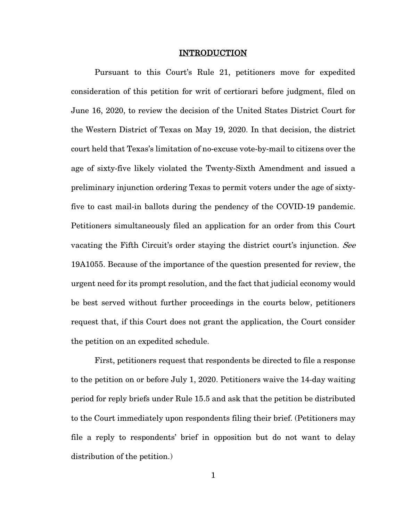#### INTRODUCTION

Pursuant to this Court's Rule 21, petitioners move for expedited consideration of this petition for writ of certiorari before judgment, filed on June 16, 2020, to review the decision of the United States District Court for the Western District of Texas on May 19, 2020. In that decision, the district court held that Texas's limitation of no-excuse vote-by-mail to citizens over the age of sixty-five likely violated the Twenty-Sixth Amendment and issued a preliminary injunction ordering Texas to permit voters under the age of sixtyfive to cast mail-in ballots during the pendency of the COVID-19 pandemic. Petitioners simultaneously filed an application for an order from this Court vacating the Fifth Circuit's order staying the district court's injunction. See 19A1055. Because of the importance of the question presented for review, the urgent need for its prompt resolution, and the fact that judicial economy would be best served without further proceedings in the courts below, petitioners request that, if this Court does not grant the application, the Court consider the petition on an expedited schedule.

First, petitioners request that respondents be directed to file a response to the petition on or before July 1, 2020. Petitioners waive the 14-day waiting period for reply briefs under Rule 15.5 and ask that the petition be distributed to the Court immediately upon respondents filing their brief. (Petitioners may file a reply to respondents' brief in opposition but do not want to delay distribution of the petition.)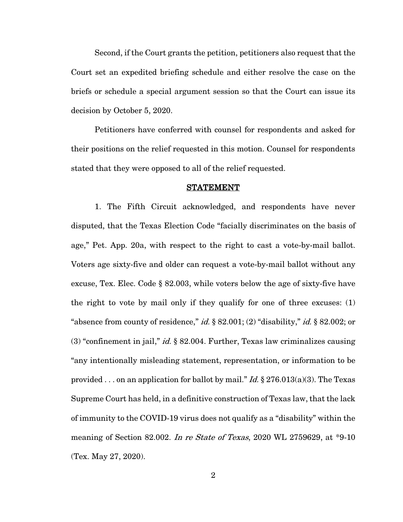Second, if the Court grants the petition, petitioners also request that the Court set an expedited briefing schedule and either resolve the case on the briefs or schedule a special argument session so that the Court can issue its decision by October 5, 2020.

Petitioners have conferred with counsel for respondents and asked for their positions on the relief requested in this motion. Counsel for respondents stated that they were opposed to all of the relief requested.

#### **STATEMENT**

1. The Fifth Circuit acknowledged, and respondents have never disputed, that the Texas Election Code "facially discriminates on the basis of age," Pet. App. 20a, with respect to the right to cast a vote-by-mail ballot. Voters age sixty-five and older can request a vote-by-mail ballot without any excuse, Tex. Elec. Code § 82.003, while voters below the age of sixty-five have the right to vote by mail only if they qualify for one of three excuses: (1) "absence from county of residence," *id.*  $\S 82.001$ ; (2) "disability," *id.*  $\S 82.002$ ; or (3) "confinement in jail," *id.*  $\S$  82.004. Further, Texas law criminalizes causing "any intentionally misleading statement, representation, or information to be provided . . . on an application for ballot by mail." Id.  $\S 276.013(a)(3)$ . The Texas Supreme Court has held, in a definitive construction of Texas law, that the lack of immunity to the COVID-19 virus does not qualify as a "disability" within the meaning of Section 82.002. In re State of Texas, 2020 WL 2759629, at \*9-10 (Tex. May 27, 2020).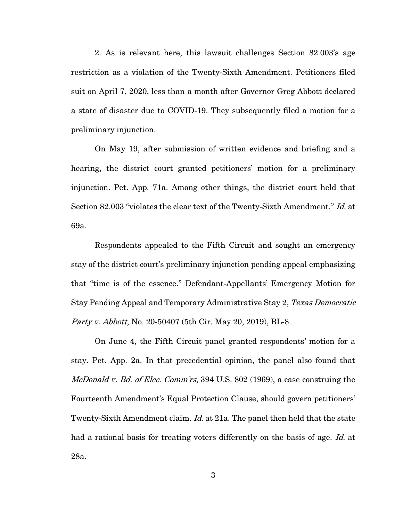2. As is relevant here, this lawsuit challenges Section 82.003's age restriction as a violation of the Twenty-Sixth Amendment. Petitioners filed suit on April 7, 2020, less than a month after Governor Greg Abbott declared a state of disaster due to COVID-19. They subsequently filed a motion for a preliminary injunction.

On May 19, after submission of written evidence and briefing and a hearing, the district court granted petitioners' motion for a preliminary injunction. Pet. App. 71a. Among other things, the district court held that Section 82.003 "violates the clear text of the Twenty-Sixth Amendment." Id. at 69a.

Respondents appealed to the Fifth Circuit and sought an emergency stay of the district court's preliminary injunction pending appeal emphasizing that "time is of the essence." Defendant-Appellants' Emergency Motion for Stay Pending Appeal and Temporary Administrative Stay 2, Texas Democratic Party v. Abbott, No. 20-50407 (5th Cir. May 20, 2019), BL-8.

On June 4, the Fifth Circuit panel granted respondents' motion for a stay. Pet. App. 2a. In that precedential opinion, the panel also found that McDonald v. Bd. of Elec. Comm'rs, 394 U.S. 802 (1969), a case construing the Fourteenth Amendment's Equal Protection Clause, should govern petitioners' Twenty-Sixth Amendment claim. *Id.* at 21a. The panel then held that the state had a rational basis for treating voters differently on the basis of age. Id. at 28a.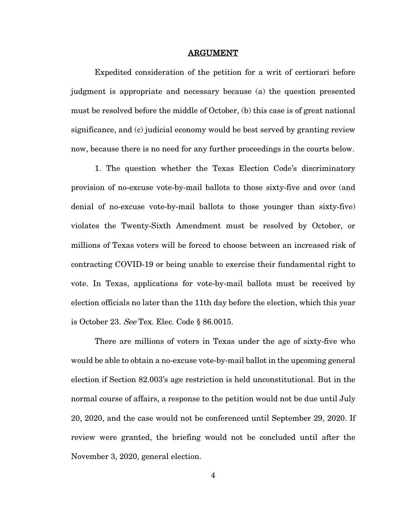#### ARGUMENT

Expedited consideration of the petition for a writ of certiorari before judgment is appropriate and necessary because (a) the question presented must be resolved before the middle of October, (b) this case is of great national significance, and (c) judicial economy would be best served by granting review now, because there is no need for any further proceedings in the courts below.

1. The question whether the Texas Election Code's discriminatory provision of no-excuse vote-by-mail ballots to those sixty-five and over (and denial of no-excuse vote-by-mail ballots to those younger than sixty-five) violates the Twenty-Sixth Amendment must be resolved by October, or millions of Texas voters will be forced to choose between an increased risk of contracting COVID-19 or being unable to exercise their fundamental right to vote. In Texas, applications for vote-by-mail ballots must be received by election officials no later than the 11th day before the election, which this year is October 23. See Tex. Elec. Code § 86.0015.

There are millions of voters in Texas under the age of sixty-five who would be able to obtain a no-excuse vote-by-mail ballot in the upcoming general election if Section 82.003's age restriction is held unconstitutional. But in the normal course of affairs, a response to the petition would not be due until July 20, 2020, and the case would not be conferenced until September 29, 2020. If review were granted, the briefing would not be concluded until after the November 3, 2020, general election.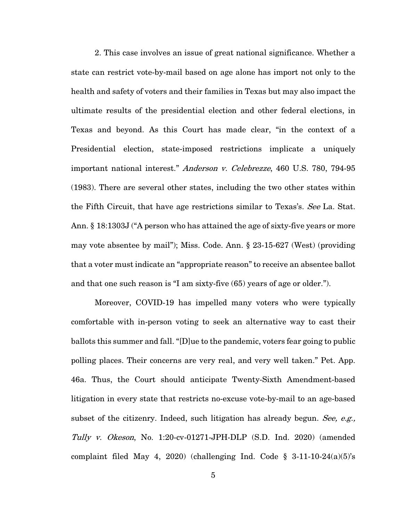2. This case involves an issue of great national significance. Whether a state can restrict vote-by-mail based on age alone has import not only to the health and safety of voters and their families in Texas but may also impact the ultimate results of the presidential election and other federal elections, in Texas and beyond. As this Court has made clear, "in the context of a Presidential election, state-imposed restrictions implicate a uniquely important national interest." Anderson v. Celebrezze, 460 U.S. 780, 794-95 (1983). There are several other states, including the two other states within the Fifth Circuit, that have age restrictions similar to Texas's. See La. Stat. Ann. § 18:1303J ("A person who has attained the age of sixty-five years or more may vote absentee by mail"); Miss. Code. Ann. § 23-15-627 (West) (providing that a voter must indicate an "appropriate reason" to receive an absentee ballot and that one such reason is "I am sixty-five (65) years of age or older.").

Moreover, COVID-19 has impelled many voters who were typically comfortable with in-person voting to seek an alternative way to cast their ballots this summer and fall. "[D]ue to the pandemic, voters fear going to public polling places. Their concerns are very real, and very well taken." Pet. App. 46a. Thus, the Court should anticipate Twenty-Sixth Amendment-based litigation in every state that restricts no-excuse vote-by-mail to an age-based subset of the citizenry. Indeed, such litigation has already begun. See, e.g., Tully v. Okeson, No. 1:20-cv-01271-JPH-DLP (S.D. Ind. 2020) (amended complaint filed May 4, 2020) (challenging Ind. Code  $\S$  3-11-10-24(a)(5)'s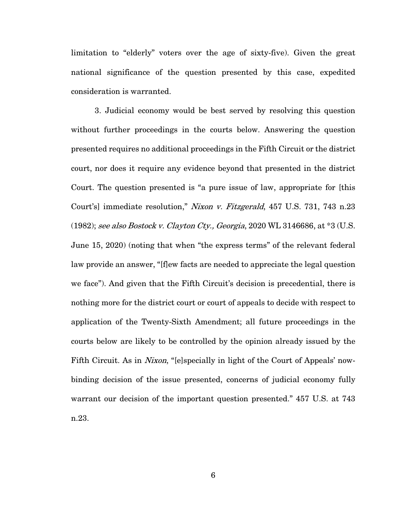limitation to "elderly" voters over the age of sixty-five). Given the great national significance of the question presented by this case, expedited consideration is warranted.

3. Judicial economy would be best served by resolving this question without further proceedings in the courts below. Answering the question presented requires no additional proceedings in the Fifth Circuit or the district court, nor does it require any evidence beyond that presented in the district Court. The question presented is "a pure issue of law, appropriate for [this Court's] immediate resolution," Nixon v. Fitzgerald, 457 U.S. 731, 743 n.23 (1982); see also Bostock v. Clayton Cty., Georgia, 2020 WL 3146686, at  $*3$  (U.S. June 15, 2020) (noting that when "the express terms" of the relevant federal law provide an answer, "[f]ew facts are needed to appreciate the legal question we face"). And given that the Fifth Circuit's decision is precedential, there is nothing more for the district court or court of appeals to decide with respect to application of the Twenty-Sixth Amendment; all future proceedings in the courts below are likely to be controlled by the opinion already issued by the Fifth Circuit. As in *Nixon*, "[e]specially in light of the Court of Appeals' nowbinding decision of the issue presented, concerns of judicial economy fully warrant our decision of the important question presented." 457 U.S. at 743 n.23.